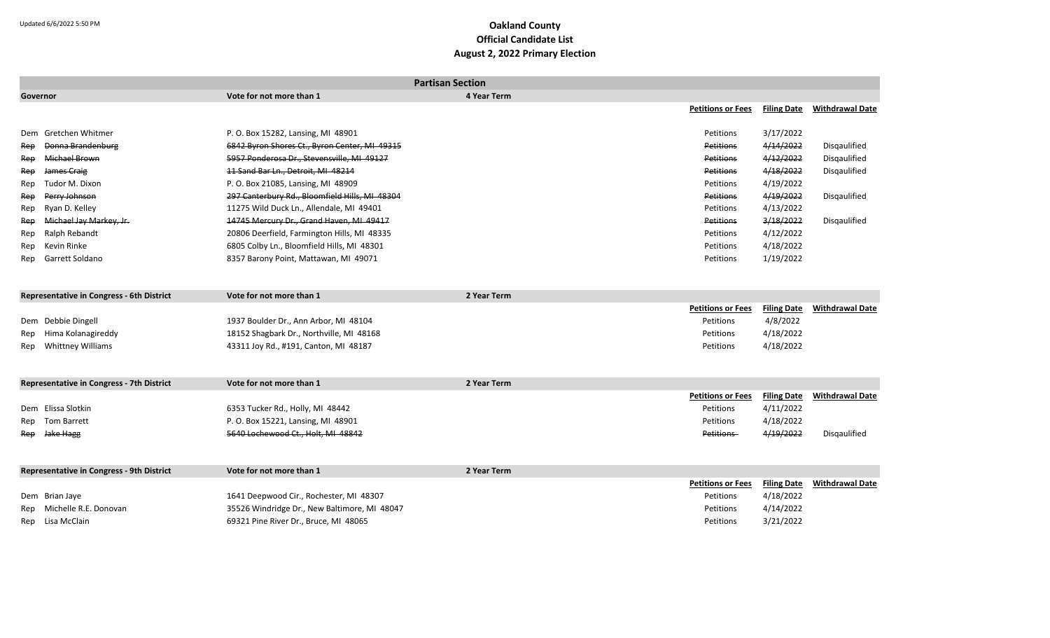| Vote for not more than 1<br><b>4 Year Term</b><br>Governor<br><b>Filing Date</b><br><b>Withdrawal Date</b><br><b>Petitions or Fees</b><br>3/17/2022<br>Gretchen Whitmer<br>P. O. Box 15282, Lansing, MI 48901<br>Petitions<br>Dem<br>4/14/2022<br>Donna Brandenburg<br>6842 Byron Shores Ct., Byron Center, MI 49315<br>Disgaulified<br>Petitions<br>Rep<br>5957 Ponderosa Dr., Stevensville, MI 49127<br>4/12/2022<br>Disqaulified<br>Michael Brown<br>Petitions<br>Rep<br>4/18/2022<br>James Craig<br>11 Sand Bar Ln., Detroit, MI 48214<br>Disqaulified<br><b>Petitions</b><br>Rep<br>4/19/2022<br>Tudor M. Dixon<br>P. O. Box 21085, Lansing, MI 48909<br>Petitions<br>Rep<br>4/19/2022<br>297 Canterbury Rd., Bloomfield Hills, MI 48304<br>Perry Johnson<br>Petitions<br>Disgaulified<br>Rep<br>11275 Wild Duck Ln., Allendale, MI 49401<br>4/13/2022<br>Ryan D. Kelley<br>Petitions<br>Rep<br>Michael Jay Markey, Jr.<br>3/18/2022<br>14745 Mercury Dr., Grand Haven, MI 49417<br><b>Petitions</b><br>Disgaulified<br>Rep<br>4/12/2022<br>Ralph Rebandt<br>20806 Deerfield, Farmington Hills, MI 48335<br>Petitions<br>Rep<br>4/18/2022<br>Kevin Rinke<br>6805 Colby Ln., Bloomfield Hills, MI 48301<br>Petitions<br>Rep<br>1/19/2022<br>Garrett Soldano<br>8357 Barony Point, Mattawan, MI 49071<br>Petitions<br>Rep | <b>Partisan Section</b> |  |  |  |  |  |
|------------------------------------------------------------------------------------------------------------------------------------------------------------------------------------------------------------------------------------------------------------------------------------------------------------------------------------------------------------------------------------------------------------------------------------------------------------------------------------------------------------------------------------------------------------------------------------------------------------------------------------------------------------------------------------------------------------------------------------------------------------------------------------------------------------------------------------------------------------------------------------------------------------------------------------------------------------------------------------------------------------------------------------------------------------------------------------------------------------------------------------------------------------------------------------------------------------------------------------------------------------------------------------------------------------------------------|-------------------------|--|--|--|--|--|
|                                                                                                                                                                                                                                                                                                                                                                                                                                                                                                                                                                                                                                                                                                                                                                                                                                                                                                                                                                                                                                                                                                                                                                                                                                                                                                                              |                         |  |  |  |  |  |
|                                                                                                                                                                                                                                                                                                                                                                                                                                                                                                                                                                                                                                                                                                                                                                                                                                                                                                                                                                                                                                                                                                                                                                                                                                                                                                                              |                         |  |  |  |  |  |
|                                                                                                                                                                                                                                                                                                                                                                                                                                                                                                                                                                                                                                                                                                                                                                                                                                                                                                                                                                                                                                                                                                                                                                                                                                                                                                                              |                         |  |  |  |  |  |
|                                                                                                                                                                                                                                                                                                                                                                                                                                                                                                                                                                                                                                                                                                                                                                                                                                                                                                                                                                                                                                                                                                                                                                                                                                                                                                                              |                         |  |  |  |  |  |
|                                                                                                                                                                                                                                                                                                                                                                                                                                                                                                                                                                                                                                                                                                                                                                                                                                                                                                                                                                                                                                                                                                                                                                                                                                                                                                                              |                         |  |  |  |  |  |
|                                                                                                                                                                                                                                                                                                                                                                                                                                                                                                                                                                                                                                                                                                                                                                                                                                                                                                                                                                                                                                                                                                                                                                                                                                                                                                                              |                         |  |  |  |  |  |
|                                                                                                                                                                                                                                                                                                                                                                                                                                                                                                                                                                                                                                                                                                                                                                                                                                                                                                                                                                                                                                                                                                                                                                                                                                                                                                                              |                         |  |  |  |  |  |
|                                                                                                                                                                                                                                                                                                                                                                                                                                                                                                                                                                                                                                                                                                                                                                                                                                                                                                                                                                                                                                                                                                                                                                                                                                                                                                                              |                         |  |  |  |  |  |
|                                                                                                                                                                                                                                                                                                                                                                                                                                                                                                                                                                                                                                                                                                                                                                                                                                                                                                                                                                                                                                                                                                                                                                                                                                                                                                                              |                         |  |  |  |  |  |
|                                                                                                                                                                                                                                                                                                                                                                                                                                                                                                                                                                                                                                                                                                                                                                                                                                                                                                                                                                                                                                                                                                                                                                                                                                                                                                                              |                         |  |  |  |  |  |
|                                                                                                                                                                                                                                                                                                                                                                                                                                                                                                                                                                                                                                                                                                                                                                                                                                                                                                                                                                                                                                                                                                                                                                                                                                                                                                                              |                         |  |  |  |  |  |
|                                                                                                                                                                                                                                                                                                                                                                                                                                                                                                                                                                                                                                                                                                                                                                                                                                                                                                                                                                                                                                                                                                                                                                                                                                                                                                                              |                         |  |  |  |  |  |
|                                                                                                                                                                                                                                                                                                                                                                                                                                                                                                                                                                                                                                                                                                                                                                                                                                                                                                                                                                                                                                                                                                                                                                                                                                                                                                                              |                         |  |  |  |  |  |
|                                                                                                                                                                                                                                                                                                                                                                                                                                                                                                                                                                                                                                                                                                                                                                                                                                                                                                                                                                                                                                                                                                                                                                                                                                                                                                                              |                         |  |  |  |  |  |
|                                                                                                                                                                                                                                                                                                                                                                                                                                                                                                                                                                                                                                                                                                                                                                                                                                                                                                                                                                                                                                                                                                                                                                                                                                                                                                                              |                         |  |  |  |  |  |
| Representative in Congress - 6th District<br>Vote for not more than 1<br>2 Year Term                                                                                                                                                                                                                                                                                                                                                                                                                                                                                                                                                                                                                                                                                                                                                                                                                                                                                                                                                                                                                                                                                                                                                                                                                                         |                         |  |  |  |  |  |
| <b>Filing Date</b><br><b>Withdrawal Date</b><br><b>Petitions or Fees</b>                                                                                                                                                                                                                                                                                                                                                                                                                                                                                                                                                                                                                                                                                                                                                                                                                                                                                                                                                                                                                                                                                                                                                                                                                                                     |                         |  |  |  |  |  |
| 4/8/2022<br>1937 Boulder Dr., Ann Arbor, MI 48104<br>Petitions<br>Dem Debbie Dingell                                                                                                                                                                                                                                                                                                                                                                                                                                                                                                                                                                                                                                                                                                                                                                                                                                                                                                                                                                                                                                                                                                                                                                                                                                         |                         |  |  |  |  |  |
| 4/18/2022<br>18152 Shagbark Dr., Northville, MI 48168<br>Hima Kolanagireddy<br>Petitions<br>Rep                                                                                                                                                                                                                                                                                                                                                                                                                                                                                                                                                                                                                                                                                                                                                                                                                                                                                                                                                                                                                                                                                                                                                                                                                              |                         |  |  |  |  |  |
| 4/18/2022<br><b>Whittney Williams</b><br>43311 Joy Rd., #191, Canton, MI 48187<br>Petitions<br>Rep                                                                                                                                                                                                                                                                                                                                                                                                                                                                                                                                                                                                                                                                                                                                                                                                                                                                                                                                                                                                                                                                                                                                                                                                                           |                         |  |  |  |  |  |
|                                                                                                                                                                                                                                                                                                                                                                                                                                                                                                                                                                                                                                                                                                                                                                                                                                                                                                                                                                                                                                                                                                                                                                                                                                                                                                                              |                         |  |  |  |  |  |
| <b>Representative in Congress - 7th District</b><br>Vote for not more than 1<br>2 Year Term                                                                                                                                                                                                                                                                                                                                                                                                                                                                                                                                                                                                                                                                                                                                                                                                                                                                                                                                                                                                                                                                                                                                                                                                                                  |                         |  |  |  |  |  |
| <b>Filing Date</b><br><b>Withdrawal Date</b><br><b>Petitions or Fees</b>                                                                                                                                                                                                                                                                                                                                                                                                                                                                                                                                                                                                                                                                                                                                                                                                                                                                                                                                                                                                                                                                                                                                                                                                                                                     |                         |  |  |  |  |  |
| Dem Elissa Slotkin<br>Petitions<br>4/11/2022<br>6353 Tucker Rd., Holly, MI 48442                                                                                                                                                                                                                                                                                                                                                                                                                                                                                                                                                                                                                                                                                                                                                                                                                                                                                                                                                                                                                                                                                                                                                                                                                                             |                         |  |  |  |  |  |
| 4/18/2022<br>P. O. Box 15221, Lansing, MI 48901<br>Tom Barrett<br>Petitions<br>Rep                                                                                                                                                                                                                                                                                                                                                                                                                                                                                                                                                                                                                                                                                                                                                                                                                                                                                                                                                                                                                                                                                                                                                                                                                                           |                         |  |  |  |  |  |
| 4/19/2022<br>Rep Jake Hagg<br>5640 Lochewood Ct., Holt, MI 48842<br>Petitions<br>Disgaulified                                                                                                                                                                                                                                                                                                                                                                                                                                                                                                                                                                                                                                                                                                                                                                                                                                                                                                                                                                                                                                                                                                                                                                                                                                |                         |  |  |  |  |  |
|                                                                                                                                                                                                                                                                                                                                                                                                                                                                                                                                                                                                                                                                                                                                                                                                                                                                                                                                                                                                                                                                                                                                                                                                                                                                                                                              |                         |  |  |  |  |  |
| Representative in Congress - 9th District<br>Vote for not more than 1<br>2 Year Term                                                                                                                                                                                                                                                                                                                                                                                                                                                                                                                                                                                                                                                                                                                                                                                                                                                                                                                                                                                                                                                                                                                                                                                                                                         |                         |  |  |  |  |  |
| <b>Filing Date</b><br><b>Withdrawal Date</b><br><b>Petitions or Fees</b>                                                                                                                                                                                                                                                                                                                                                                                                                                                                                                                                                                                                                                                                                                                                                                                                                                                                                                                                                                                                                                                                                                                                                                                                                                                     |                         |  |  |  |  |  |
| Petitions<br>4/18/2022<br>1641 Deepwood Cir., Rochester, MI 48307<br>Dem Brian Jaye                                                                                                                                                                                                                                                                                                                                                                                                                                                                                                                                                                                                                                                                                                                                                                                                                                                                                                                                                                                                                                                                                                                                                                                                                                          |                         |  |  |  |  |  |
| 4/14/2022<br>Michelle R.E. Donovan<br>35526 Windridge Dr., New Baltimore, MI 48047<br>Petitions<br>Rep                                                                                                                                                                                                                                                                                                                                                                                                                                                                                                                                                                                                                                                                                                                                                                                                                                                                                                                                                                                                                                                                                                                                                                                                                       |                         |  |  |  |  |  |
| 3/21/2022<br>Rep Lisa McClain<br>69321 Pine River Dr., Bruce, MI 48065<br>Petitions                                                                                                                                                                                                                                                                                                                                                                                                                                                                                                                                                                                                                                                                                                                                                                                                                                                                                                                                                                                                                                                                                                                                                                                                                                          |                         |  |  |  |  |  |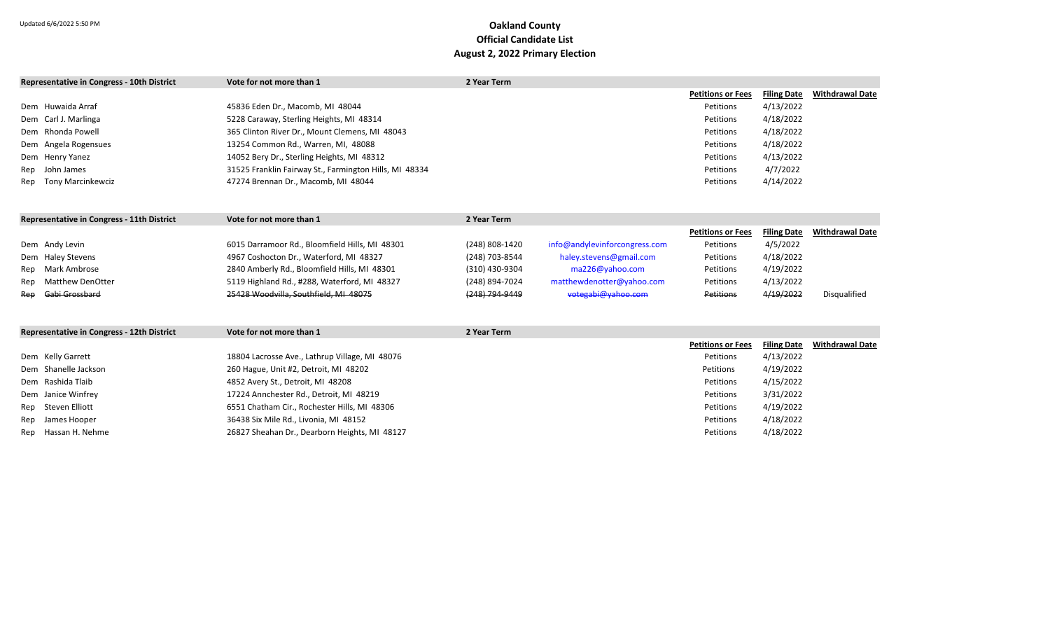|     | Representative in Congress - 10th District        | Vote for not more than 1                               | 2 Year Term    |                               |                          |                    |                        |
|-----|---------------------------------------------------|--------------------------------------------------------|----------------|-------------------------------|--------------------------|--------------------|------------------------|
|     |                                                   |                                                        |                |                               | <b>Petitions or Fees</b> | <b>Filing Date</b> | <b>Withdrawal Date</b> |
|     | Dem Huwaida Arraf                                 | 45836 Eden Dr., Macomb, MI 48044                       |                |                               | Petitions                | 4/13/2022          |                        |
|     | Dem Carl J. Marlinga                              | 5228 Caraway, Sterling Heights, MI 48314               |                |                               | Petitions                | 4/18/2022          |                        |
|     | Dem Rhonda Powell                                 | 365 Clinton River Dr., Mount Clemens, MI 48043         |                |                               | Petitions                | 4/18/2022          |                        |
|     | Dem Angela Rogensues                              | 13254 Common Rd., Warren, MI, 48088                    |                |                               | Petitions                | 4/18/2022          |                        |
|     | Dem Henry Yanez                                   | 14052 Bery Dr., Sterling Heights, MI 48312             |                |                               | Petitions                | 4/13/2022          |                        |
| Rep | John James                                        | 31525 Franklin Fairway St., Farmington Hills, MI 48334 |                |                               | Petitions                | 4/7/2022           |                        |
| Rep | Tony Marcinkewciz                                 | 47274 Brennan Dr., Macomb, MI 48044                    |                |                               | Petitions                | 4/14/2022          |                        |
|     | Representative in Congress - 11th District        | Vote for not more than 1                               | 2 Year Term    |                               |                          |                    |                        |
|     |                                                   |                                                        |                |                               | <b>Petitions or Fees</b> | <b>Filing Date</b> | <b>Withdrawal Date</b> |
|     | Dem Andy Levin                                    | 6015 Darramoor Rd., Bloomfield Hills, MI 48301         | (248) 808-1420 | info@andylevinforcongress.com | Petitions                | 4/5/2022           |                        |
|     | Dem Haley Stevens                                 | 4967 Coshocton Dr., Waterford, MI 48327                | (248) 703-8544 | haley.stevens@gmail.com       | Petitions                | 4/18/2022          |                        |
| Rep | Mark Ambrose                                      | 2840 Amberly Rd., Bloomfield Hills, MI 48301           | (310) 430-9304 | ma226@yahoo.com               | Petitions                | 4/19/2022          |                        |
| Rep | <b>Matthew DenOtter</b>                           | 5119 Highland Rd., #288, Waterford, MI 48327           | (248) 894-7024 | matthewdenotter@yahoo.com     | Petitions                | 4/13/2022          |                        |
| Rep | Gabi Grossbard                                    | 25428 Woodvilla, Southfield, MI 48075                  | (248) 794-9449 | votegabi@yahoo.com            | <b>Petitions</b>         | 4/19/2022          | Disqualified           |
|     | <b>Representative in Congress - 12th District</b> | Vote for not more than 1                               | 2 Year Term    |                               |                          |                    |                        |
|     |                                                   |                                                        |                |                               | <b>Petitions or Fees</b> | <b>Filing Date</b> | <b>Withdrawal Date</b> |
|     | Dem Kelly Garrett                                 | 18804 Lacrosse Ave., Lathrup Village, MI 48076         |                |                               | Petitions                | 4/13/2022          |                        |
|     | Dem Shanelle Jackson                              | 260 Hague, Unit #2, Detroit, MI 48202                  |                |                               | Petitions                | 4/19/2022          |                        |
|     | Dem Rashida Tlaib                                 | 4852 Avery St., Detroit, MI 48208                      |                |                               | Petitions                | 4/15/2022          |                        |
|     | Dem Janice Winfrey                                | 17224 Annchester Rd., Detroit, MI 48219                |                |                               | Petitions                | 3/31/2022          |                        |
| Rep | Steven Elliott                                    | 6551 Chatham Cir., Rochester Hills, MI 48306           |                |                               | Petitions                | 4/19/2022          |                        |
| Rep | James Hooper                                      | 36438 Six Mile Rd., Livonia, MI 48152                  |                |                               | Petitions                | 4/18/2022          |                        |
|     | Rep Hassan H. Nehme                               | 26827 Sheahan Dr., Dearborn Heights, MI 48127          |                |                               | Petitions                | 4/18/2022          |                        |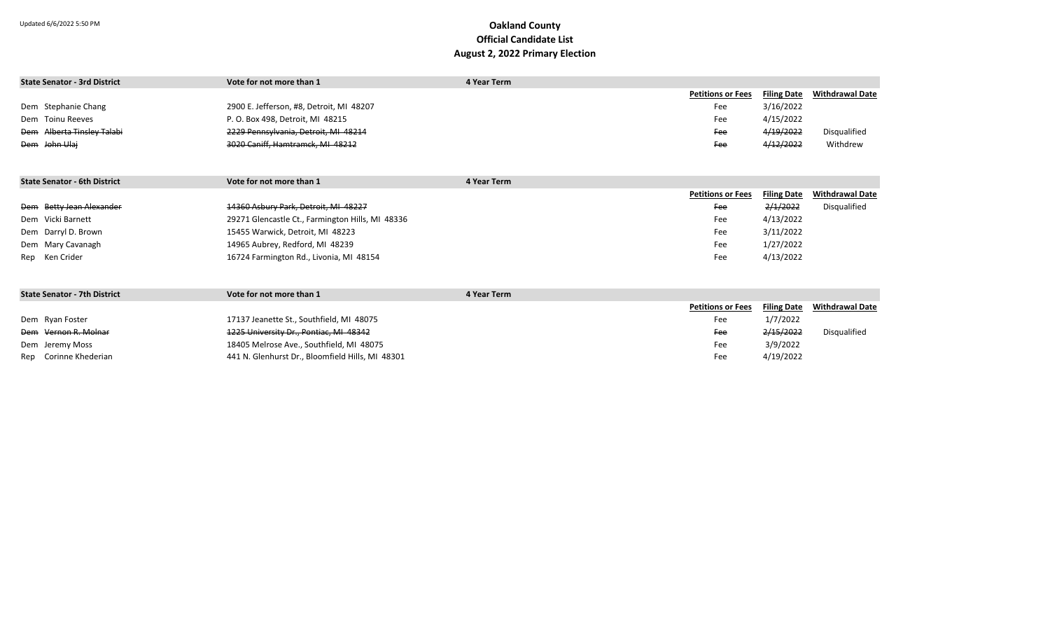| <b>State Senator - 3rd District</b> | Vote for not more than 1                         | 4 Year Term |                          |                    |                        |
|-------------------------------------|--------------------------------------------------|-------------|--------------------------|--------------------|------------------------|
|                                     |                                                  |             | <b>Petitions or Fees</b> | <b>Filing Date</b> | <b>Withdrawal Date</b> |
| Dem Stephanie Chang                 | 2900 E. Jefferson, #8, Detroit, MI 48207         |             | Fee                      | 3/16/2022          |                        |
| Dem Toinu Reeves                    | P. O. Box 498, Detroit, MI 48215                 |             | Fee                      | 4/15/2022          |                        |
| Dem Alberta Tinsley Talabi          | 2229 Pennsylvania, Detroit, MI 48214             |             | Fee                      | 4/19/2022          | Disqualified           |
| Dem John Ulai                       | 3020 Caniff, Hamtramck, MI 48212                 |             | Fee                      | 4/12/2022          | Withdrew               |
|                                     |                                                  |             |                          |                    |                        |
| <b>State Senator - 6th District</b> | Vote for not more than 1                         | 4 Year Term |                          |                    |                        |
|                                     |                                                  |             | <b>Petitions or Fees</b> | <b>Filing Date</b> | <b>Withdrawal Date</b> |
| Dem Betty Jean Alexander            | 14360 Asbury Park, Detroit, MI 48227             |             | Fee                      | 2/1/2022           | Disqualified           |
| Dem Vicki Barnett                   | 29271 Glencastle Ct., Farmington Hills, MI 48336 |             | Fee                      | 4/13/2022          |                        |
| Dem Darryl D. Brown                 | 15455 Warwick, Detroit, MI 48223                 |             | Fee                      | 3/11/2022          |                        |
| Dem Mary Cavanagh                   | 14965 Aubrey, Redford, MI 48239                  |             | Fee                      | 1/27/2022          |                        |
| Rep Ken Crider                      | 16724 Farmington Rd., Livonia, MI 48154          |             | Fee                      | 4/13/2022          |                        |
|                                     |                                                  |             |                          |                    |                        |
|                                     |                                                  |             |                          |                    |                        |

| State Senator - 7th District    | Vote for not more than 1                         | 4 Year Term |                          |                    |                 |
|---------------------------------|--------------------------------------------------|-------------|--------------------------|--------------------|-----------------|
|                                 |                                                  |             | <b>Petitions or Fees</b> | <b>Filing Date</b> | Withdrawal Date |
| Dem Ryan Foster                 | 17137 Jeanette St., Southfield, MI 48075         |             | Fee                      | 1/7/2022           |                 |
| <del>Dem Vernon R. Molnar</del> | 1225 University Dr., Pontiac, MI 48342           |             | Fee                      | 2/15/2022          | Disqualified    |
| Dem Jeremy Moss                 | 18405 Melrose Ave., Southfield, MI 48075         |             | Fee                      | 3/9/2022           |                 |
| Rep Corinne Khederian           | 441 N. Glenhurst Dr., Bloomfield Hills, MI 48301 |             | Fee                      | 4/19/2022          |                 |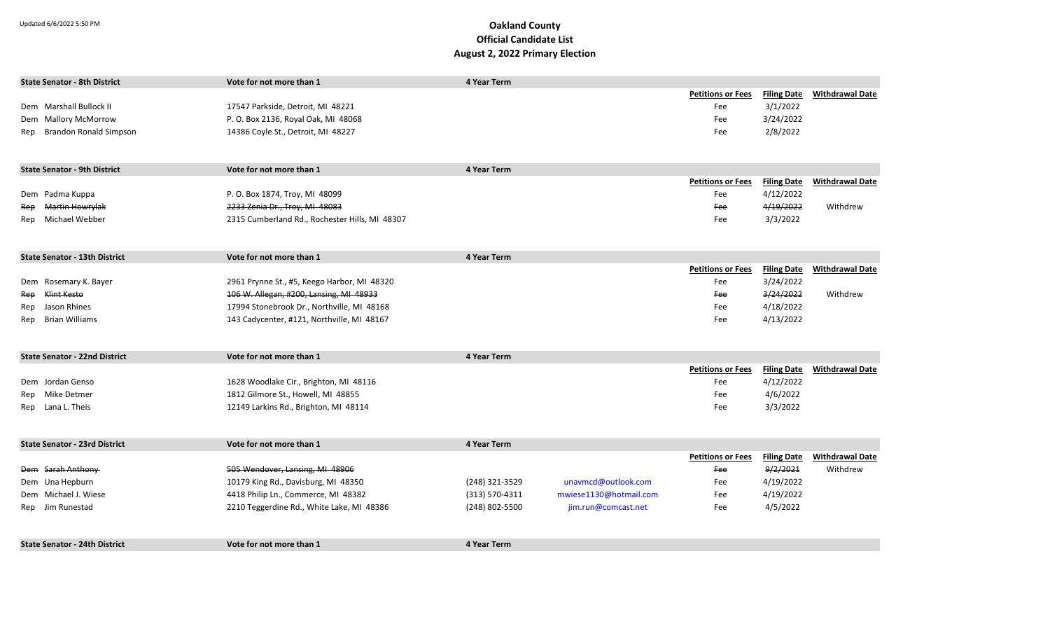|     | <b>State Senator - 8th District</b>  | Vote for not more than 1                       | 4 Year Term        |                        |                          |                    |                        |
|-----|--------------------------------------|------------------------------------------------|--------------------|------------------------|--------------------------|--------------------|------------------------|
|     |                                      |                                                |                    |                        | <b>Petitions or Fees</b> | <b>Filing Date</b> | <b>Withdrawal Date</b> |
|     | Dem Marshall Bullock II              | 17547 Parkside, Detroit, MI 48221              |                    |                        | Fee                      | 3/1/2022           |                        |
|     | Dem Mallory McMorrow                 | P. O. Box 2136, Royal Oak, MI 48068            |                    |                        | Fee                      | 3/24/2022          |                        |
| Rep | Brandon Ronald Simpson               | 14386 Coyle St., Detroit, MI 48227             |                    |                        | Fee                      | 2/8/2022           |                        |
|     |                                      |                                                |                    |                        |                          |                    |                        |
|     |                                      |                                                |                    |                        |                          |                    |                        |
|     | <b>State Senator - 9th District</b>  | Vote for not more than 1                       | 4 Year Term        |                        |                          |                    |                        |
|     |                                      |                                                |                    |                        | <b>Petitions or Fees</b> | <b>Filing Date</b> | <b>Withdrawal Date</b> |
|     | Dem Padma Kuppa                      | P. O. Box 1874, Troy, MI 48099                 |                    |                        | Fee                      | 4/12/2022          |                        |
| Rep | Martin Howrylak                      | 2233 Zenia Dr., Troy, MI 48083                 |                    |                        | <b>Fee</b>               | 4/19/2022          | Withdrew               |
| Rep | Michael Webber                       | 2315 Cumberland Rd., Rochester Hills, MI 48307 |                    |                        | Fee                      | 3/3/2022           |                        |
|     |                                      |                                                |                    |                        |                          |                    |                        |
|     |                                      |                                                |                    |                        |                          |                    |                        |
|     | <b>State Senator - 13th District</b> | Vote for not more than 1                       | 4 Year Term        |                        |                          |                    |                        |
|     |                                      |                                                |                    |                        | <b>Petitions or Fees</b> | <b>Filing Date</b> | <b>Withdrawal Date</b> |
|     | Dem Rosemary K. Bayer                | 2961 Prynne St., #5, Keego Harbor, MI 48320    |                    |                        | Fee                      | 3/24/2022          |                        |
| Rep | Klint Kesto                          | 106 W. Allegan, #200, Lansing, MI 48933        |                    |                        | Fee                      | 3/24/2022          | Withdrew               |
| Rep | Jason Rhines                         | 17994 Stonebrook Dr., Northville, MI 48168     |                    |                        | Fee                      | 4/18/2022          |                        |
| Rep | <b>Brian Williams</b>                | 143 Cadycenter, #121, Northville, MI 48167     |                    |                        | Fee                      | 4/13/2022          |                        |
|     |                                      |                                                |                    |                        |                          |                    |                        |
|     | <b>State Senator - 22nd District</b> | Vote for not more than 1                       | <b>4 Year Term</b> |                        |                          |                    |                        |
|     |                                      |                                                |                    |                        |                          | <b>Filing Date</b> | <b>Withdrawal Date</b> |
|     | Dem Jordan Genso                     |                                                |                    |                        | <b>Petitions or Fees</b> |                    |                        |
|     |                                      | 1628 Woodlake Cir., Brighton, MI 48116         |                    |                        | Fee                      | 4/12/2022          |                        |
| Rep | Mike Detmer                          | 1812 Gilmore St., Howell, MI 48855             |                    |                        | Fee                      | 4/6/2022           |                        |
| Rep | Lana L. Theis                        | 12149 Larkins Rd., Brighton, MI 48114          |                    |                        | Fee                      | 3/3/2022           |                        |
|     |                                      |                                                |                    |                        |                          |                    |                        |
|     | <b>State Senator - 23rd District</b> | Vote for not more than 1                       | <b>4 Year Term</b> |                        |                          |                    |                        |
|     |                                      |                                                |                    |                        | <b>Petitions or Fees</b> | <b>Filing Date</b> | <b>Withdrawal Date</b> |
|     | Dem Sarah Anthony                    | 505 Wendover, Lansing, MI 48906                |                    |                        | Fee                      | 9/2/2021           | Withdrew               |
|     | Dem Una Hepburn                      | 10179 King Rd., Davisburg, MI 48350            | (248) 321-3529     | unavmcd@outlook.com    | Fee                      | 4/19/2022          |                        |
|     | Dem Michael J. Wiese                 | 4418 Philip Ln., Commerce, MI 48382            | (313) 570-4311     | mwiese1130@hotmail.com | Fee                      | 4/19/2022          |                        |
|     | Rep Jim Runestad                     | 2210 Teggerdine Rd., White Lake, MI 48386      | (248) 802-5500     | jim.run@comcast.net    | Fee                      | 4/5/2022           |                        |
|     |                                      |                                                |                    |                        |                          |                    |                        |
|     |                                      |                                                |                    |                        |                          |                    |                        |
|     | <b>State Senator - 24th District</b> | Vote for not more than 1                       | <b>4 Year Term</b> |                        |                          |                    |                        |
|     |                                      |                                                |                    |                        |                          |                    |                        |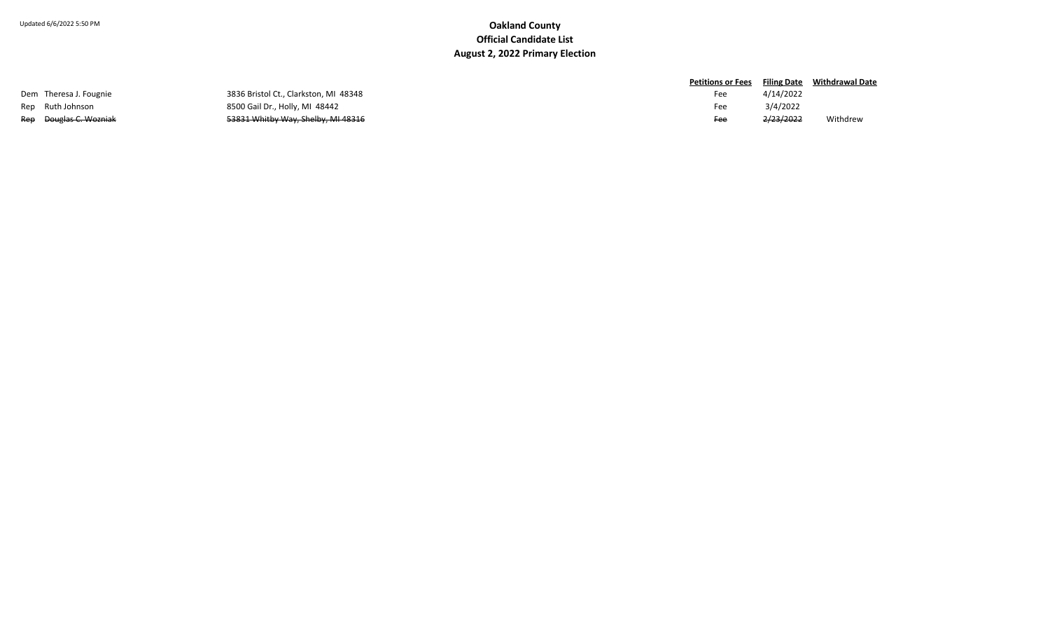|                        |                                       | Petitions or Fees Filing Date Withdrawal Date |           |          |
|------------------------|---------------------------------------|-----------------------------------------------|-----------|----------|
| Dem Theresa J. Fougnie | 3836 Bristol Ct., Clarkston, MI 48348 |                                               | 4/14/2022 |          |
| Rep Ruth Johnson       | 8500 Gail Dr., Holly, MI 48442        | Fee                                           | 3/4/2022  |          |
| Rep Douglas C. Wozniak | 53831 Whitby Way, Shelby, MI 48316    | Fee                                           | 2/23/2022 | Withdrew |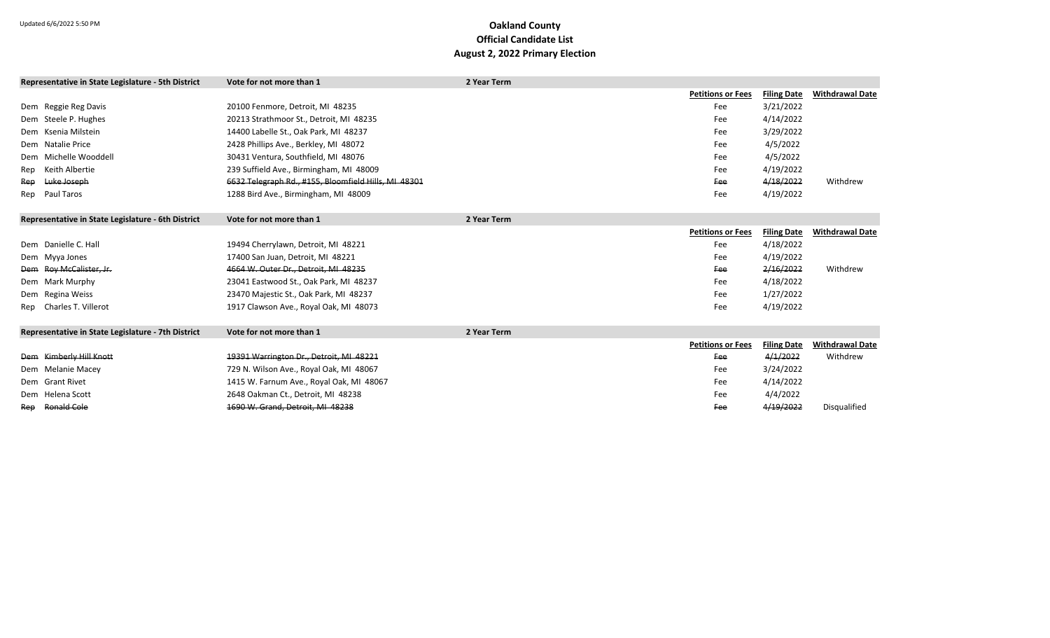| Representative in State Legislature - 5th District | Vote for not more than 1                             | 2 Year Term |                          |                    |                        |
|----------------------------------------------------|------------------------------------------------------|-------------|--------------------------|--------------------|------------------------|
|                                                    |                                                      |             | <b>Petitions or Fees</b> | <b>Filing Date</b> | <b>Withdrawal Date</b> |
| Dem Reggie Reg Davis                               | 20100 Fenmore, Detroit, MI 48235                     |             | Fee                      | 3/21/2022          |                        |
| Dem Steele P. Hughes                               | 20213 Strathmoor St., Detroit, MI 48235              |             | Fee                      | 4/14/2022          |                        |
| Dem Ksenia Milstein                                | 14400 Labelle St., Oak Park, MI 48237                |             | Fee                      | 3/29/2022          |                        |
| Dem Natalie Price                                  | 2428 Phillips Ave., Berkley, MI 48072                |             | Fee                      | 4/5/2022           |                        |
| Dem Michelle Wooddell                              | 30431 Ventura, Southfield, MI 48076                  |             | Fee                      | 4/5/2022           |                        |
| Keith Albertie<br>Rep                              | 239 Suffield Ave., Birmingham, MI 48009              |             | Fee                      | 4/19/2022          |                        |
| <del>Luke Joseph</del><br>Rep                      | 6632 Telegraph Rd., #155, Bloomfield Hills, MI 48301 |             | Fee                      | 4/18/2022          | Withdrew               |
| Paul Taros<br>Rep                                  | 1288 Bird Ave., Birmingham, MI 48009                 |             | Fee                      | 4/19/2022          |                        |
| Representative in State Legislature - 6th District | Vote for not more than 1                             | 2 Year Term |                          |                    |                        |
|                                                    |                                                      |             | <b>Petitions or Fees</b> | <b>Filing Date</b> | <b>Withdrawal Date</b> |
| Dem Danielle C. Hall                               | 19494 Cherrylawn, Detroit, MI 48221                  |             | Fee                      | 4/18/2022          |                        |
| Dem Myya Jones                                     | 17400 San Juan, Detroit, MI 48221                    |             | Fee                      | 4/19/2022          |                        |
| Dem Roy McCalister, Jr.                            | 4664 W. Outer Dr., Detroit, MI 48235                 |             | <b>Fee</b>               | 2/16/2022          | Withdrew               |
| Dem Mark Murphy                                    | 23041 Eastwood St., Oak Park, MI 48237               |             | Fee                      | 4/18/2022          |                        |
| Dem Regina Weiss                                   | 23470 Majestic St., Oak Park, MI 48237               |             | Fee                      | 1/27/2022          |                        |
| Rep Charles T. Villerot                            | 1917 Clawson Ave., Royal Oak, MI 48073               |             | Fee                      | 4/19/2022          |                        |
| Representative in State Legislature - 7th District | Vote for not more than 1                             | 2 Year Term |                          |                    |                        |
|                                                    |                                                      |             | <b>Petitions or Fees</b> | <b>Filing Date</b> | <b>Withdrawal Date</b> |
| Dem Kimberly Hill Knott                            | 19391 Warrington Dr., Detroit, MI 48221              |             | Fee                      | 4/1/2022           | Withdrew               |
| Dem Melanie Macey                                  | 729 N. Wilson Ave., Royal Oak, MI 48067              |             | Fee                      | 3/24/2022          |                        |
| Dem Grant Rivet                                    | 1415 W. Farnum Ave., Royal Oak, MI 48067             |             | Fee                      | 4/14/2022          |                        |
| Dem Helena Scott                                   | 2648 Oakman Ct., Detroit, MI 48238                   |             | Fee                      | 4/4/2022           |                        |
| Rep Ronald Cole                                    | 1690 W. Grand. Detroit. MI 48238                     |             | <b>Fee</b>               | 4/19/2022          | Disqualified           |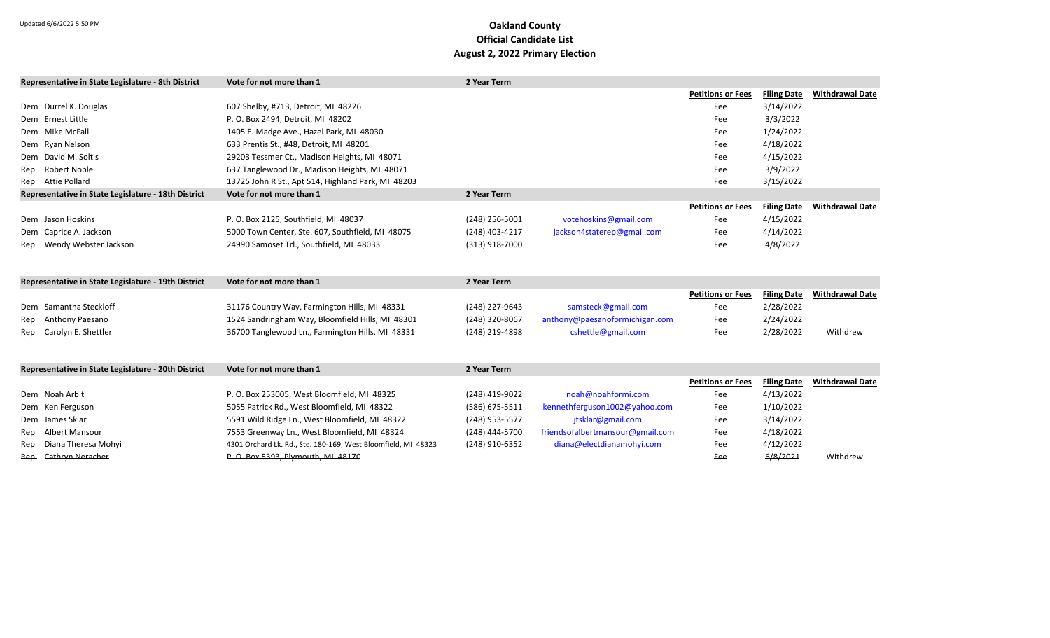| Representative in State Legislature - 8th District  | Vote for not more than 1                                      | 2 Year Term      |                                  |                          |                    |                        |
|-----------------------------------------------------|---------------------------------------------------------------|------------------|----------------------------------|--------------------------|--------------------|------------------------|
|                                                     |                                                               |                  |                                  | <b>Petitions or Fees</b> | <b>Filing Date</b> | <b>Withdrawal Date</b> |
| Dem Durrel K. Douglas                               | 607 Shelby, #713, Detroit, MI 48226                           |                  |                                  | Fee                      | 3/14/2022          |                        |
| Dem Ernest Little                                   | P. O. Box 2494, Detroit, MI 48202                             |                  |                                  | Fee                      | 3/3/2022           |                        |
| Dem Mike McFall                                     | 1405 E. Madge Ave., Hazel Park, MI 48030                      |                  |                                  | Fee                      | 1/24/2022          |                        |
| Dem Ryan Nelson                                     | 633 Prentis St., #48, Detroit, MI 48201                       |                  |                                  | Fee                      | 4/18/2022          |                        |
| Dem David M. Soltis                                 | 29203 Tessmer Ct., Madison Heights, MI 48071                  |                  |                                  | Fee                      | 4/15/2022          |                        |
| Robert Noble<br>Rep                                 | 637 Tanglewood Dr., Madison Heights, MI 48071                 |                  |                                  | Fee                      | 3/9/2022           |                        |
| Rep Attie Pollard                                   | 13725 John R St., Apt 514, Highland Park, MI 48203            |                  |                                  | Fee                      | 3/15/2022          |                        |
| Representative in State Legislature - 18th District | Vote for not more than 1                                      | 2 Year Term      |                                  |                          |                    |                        |
|                                                     |                                                               |                  |                                  | <b>Petitions or Fees</b> | <b>Filing Date</b> | <b>Withdrawal Date</b> |
| Dem Jason Hoskins                                   | P. O. Box 2125, Southfield, MI 48037                          | $(248)$ 256-5001 | votehoskins@gmail.com            | Fee                      | 4/15/2022          |                        |
| Dem Caprice A. Jackson                              | 5000 Town Center, Ste. 607, Southfield, MI 48075              | (248) 403-4217   | jackson4staterep@gmail.com       | Fee                      | 4/14/2022          |                        |
| Wendy Webster Jackson<br>Rep                        | 24990 Samoset Trl., Southfield, MI 48033                      | $(313)$ 918-7000 |                                  | Fee                      | 4/8/2022           |                        |
|                                                     |                                                               |                  |                                  |                          |                    |                        |
|                                                     |                                                               |                  |                                  |                          |                    |                        |
| Representative in State Legislature - 19th District | Vote for not more than 1                                      | 2 Year Term      |                                  |                          |                    |                        |
|                                                     |                                                               |                  |                                  | <b>Petitions or Fees</b> | <b>Filing Date</b> | <b>Withdrawal Date</b> |
| Dem Samantha Steckloff                              | 31176 Country Way, Farmington Hills, MI 48331                 | (248) 227-9643   | samsteck@gmail.com               | Fee                      | 2/28/2022          |                        |
| Anthony Paesano<br>Rep                              | 1524 Sandringham Way, Bloomfield Hills, MI 48301              | (248) 320-8067   | anthony@paesanoformichigan.com   | Fee                      | 2/24/2022          |                        |
| Carolyn E. Shettler<br>Reo                          | 36700 Tanglewood Ln., Farmington Hills, MI 48331              | $(248)$ 219-4898 | cshettle@gmail.com               | <b>Fee</b>               | 2/28/2022          | Withdrew               |
|                                                     |                                                               |                  |                                  |                          |                    |                        |
| Representative in State Legislature - 20th District | Vote for not more than 1                                      | 2 Year Term      |                                  |                          |                    |                        |
|                                                     |                                                               |                  |                                  | <b>Petitions or Fees</b> | <b>Filing Date</b> | <b>Withdrawal Date</b> |
| Dem Noah Arbit                                      | P. O. Box 253005, West Bloomfield, MI 48325                   | (248) 419-9022   | noah@noahformi.com               | Fee                      | 4/13/2022          |                        |
| Dem Ken Ferguson                                    | 5055 Patrick Rd., West Bloomfield, MI 48322                   | (586) 675-5511   | kennethferguson1002@yahoo.com    | Fee                      | 1/10/2022          |                        |
| Dem James Sklar                                     | 5591 Wild Ridge Ln., West Bloomfield, MI 48322                | (248) 953-5577   | jtsklar@gmail.com                | Fee                      | 3/14/2022          |                        |
| Albert Mansour<br>Rep                               | 7553 Greenway Ln., West Bloomfield, MI 48324                  | (248) 444-5700   | friendsofalbertmansour@gmail.com | Fee                      | 4/18/2022          |                        |
| Diana Theresa Mohyi<br>Rep                          | 4301 Orchard Lk. Rd., Ste. 180-169, West Bloomfield, MI 48323 | (248) 910-6352   | diana@electdianamohyi.com        | Fee                      | 4/12/2022          |                        |
| Cathryn Neracher<br>Rep-                            | P. O. Box 5393, Plymouth, MI 48170                            |                  |                                  | <b>Fee</b>               | 6/8/2021           | Withdrew               |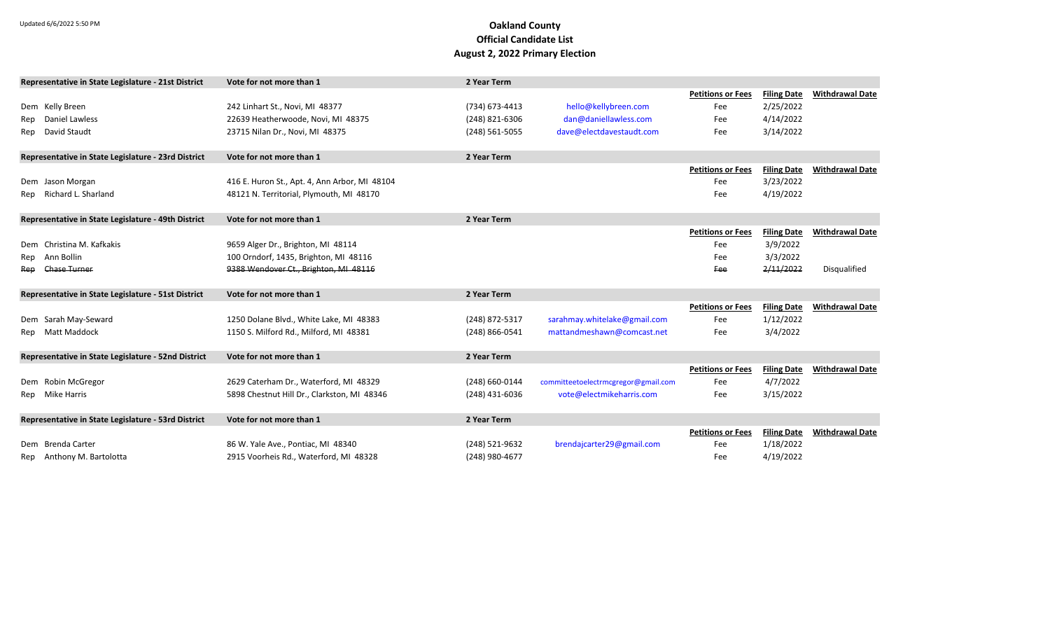|     | Representative in State Legislature - 21st District | Vote for not more than 1                      | 2 Year Term    |                                     |                          |                    |                        |
|-----|-----------------------------------------------------|-----------------------------------------------|----------------|-------------------------------------|--------------------------|--------------------|------------------------|
|     |                                                     |                                               |                |                                     | <b>Petitions or Fees</b> | <b>Filing Date</b> | <b>Withdrawal Date</b> |
|     | Dem Kelly Breen                                     | 242 Linhart St., Novi, MI 48377               | (734) 673-4413 | hello@kellybreen.com                | Fee                      | 2/25/2022          |                        |
| Rep | Daniel Lawless                                      | 22639 Heatherwoode, Novi, MI 48375            | (248) 821-6306 | dan@daniellawless.com               | Fee                      | 4/14/2022          |                        |
| Rep | David Staudt                                        | 23715 Nilan Dr., Novi, MI 48375               | (248) 561-5055 | dave@electdavestaudt.com            | Fee                      | 3/14/2022          |                        |
|     | Representative in State Legislature - 23rd District | Vote for not more than 1                      | 2 Year Term    |                                     |                          |                    |                        |
|     |                                                     |                                               |                |                                     | <b>Petitions or Fees</b> | <b>Filing Date</b> | <b>Withdrawal Date</b> |
|     | Dem Jason Morgan                                    | 416 E. Huron St., Apt. 4, Ann Arbor, MI 48104 |                |                                     | Fee                      | 3/23/2022          |                        |
|     | Rep Richard L. Sharland                             | 48121 N. Territorial, Plymouth, MI 48170      |                |                                     | Fee                      | 4/19/2022          |                        |
|     | Representative in State Legislature - 49th District | Vote for not more than 1                      | 2 Year Term    |                                     |                          |                    |                        |
|     |                                                     |                                               |                |                                     | <b>Petitions or Fees</b> | <b>Filing Date</b> | <b>Withdrawal Date</b> |
|     | Dem Christina M. Kafkakis                           | 9659 Alger Dr., Brighton, MI 48114            |                |                                     | Fee                      | 3/9/2022           |                        |
| Rep | Ann Bollin                                          | 100 Orndorf, 1435, Brighton, MI 48116         |                |                                     | Fee                      | 3/3/2022           |                        |
| Rep | Chase Turner                                        | 9388 Wendover Ct., Brighton, MI 48116         |                |                                     | Fee                      | 2/11/2022          | Disqualified           |
|     | Representative in State Legislature - 51st District | Vote for not more than 1                      | 2 Year Term    |                                     |                          |                    |                        |
|     |                                                     |                                               |                |                                     | <b>Petitions or Fees</b> | <b>Filing Date</b> | <b>Withdrawal Date</b> |
|     | Dem Sarah May-Seward                                | 1250 Dolane Blvd., White Lake, MI 48383       | (248) 872-5317 | sarahmay.whitelake@gmail.com        | Fee                      | 1/12/2022          |                        |
|     | Rep Matt Maddock                                    | 1150 S. Milford Rd., Milford, MI 48381        | (248) 866-0541 | mattandmeshawn@comcast.net          | Fee                      | 3/4/2022           |                        |
|     | Representative in State Legislature - 52nd District | Vote for not more than 1                      | 2 Year Term    |                                     |                          |                    |                        |
|     |                                                     |                                               |                |                                     | <b>Petitions or Fees</b> | <b>Filing Date</b> | <b>Withdrawal Date</b> |
|     | Dem Robin McGregor                                  | 2629 Caterham Dr., Waterford, MI 48329        | (248) 660-0144 | committeetoelectrmcgregor@gmail.com | Fee                      | 4/7/2022           |                        |
|     | Rep Mike Harris                                     | 5898 Chestnut Hill Dr., Clarkston, MI 48346   | (248) 431-6036 | vote@electmikeharris.com            | Fee                      | 3/15/2022          |                        |
|     | Representative in State Legislature - 53rd District | Vote for not more than 1                      | 2 Year Term    |                                     |                          |                    |                        |
|     |                                                     |                                               |                |                                     | <b>Petitions or Fees</b> | <b>Filing Date</b> | <b>Withdrawal Date</b> |
|     | Dem Brenda Carter                                   | 86 W. Yale Ave., Pontiac, MI 48340            | (248) 521-9632 | brendajcarter29@gmail.com           | Fee                      | 1/18/2022          |                        |
| Rep | Anthony M. Bartolotta                               | 2915 Voorheis Rd., Waterford, MI 48328        | (248) 980-4677 |                                     | Fee                      | 4/19/2022          |                        |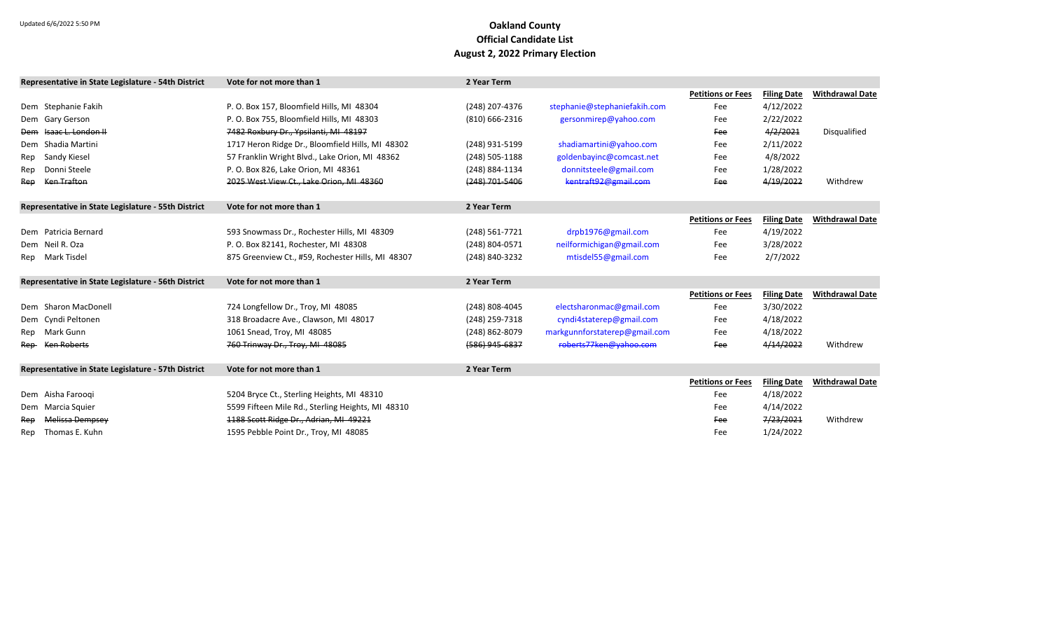| Vote for not more than 1                          | 2 Year Term        |                               |                          |                    |                        |
|---------------------------------------------------|--------------------|-------------------------------|--------------------------|--------------------|------------------------|
|                                                   |                    |                               |                          |                    |                        |
|                                                   |                    |                               | <b>Petitions or Fees</b> | <b>Filing Date</b> | <b>Withdrawal Date</b> |
| P. O. Box 157, Bloomfield Hills, MI 48304         | (248) 207-4376     | stephanie@stephaniefakih.com  | Fee                      | 4/12/2022          |                        |
| P.O. Box 755, Bloomfield Hills, MI 48303          | $(810) 666 - 2316$ | gersonmirep@yahoo.com         | Fee                      | 2/22/2022          |                        |
| 7482 Roxbury Dr., Ypsilanti, MI 48197             |                    |                               | Fee                      | 4/2/2021           | Disqualified           |
| 1717 Heron Ridge Dr., Bloomfield Hills, MI 48302  | (248) 931-5199     | shadiamartini@yahoo.com       | Fee                      | 2/11/2022          |                        |
| 57 Franklin Wright Blvd., Lake Orion, MI 48362    | (248) 505-1188     | goldenbayinc@comcast.net      | Fee                      | 4/8/2022           |                        |
| P. O. Box 826, Lake Orion, MI 48361               | (248) 884-1134     | donnitsteele@gmail.com        | Fee                      | 1/28/2022          |                        |
| 2025 West View Ct., Lake Orion, MI 48360          | $(248)$ 701-5406   | kentraft92@gmail.com          | Fee                      | 4/19/2022          | Withdrew               |
| Vote for not more than 1                          | 2 Year Term        |                               |                          |                    |                        |
|                                                   |                    |                               | <b>Petitions or Fees</b> | <b>Filing Date</b> | <b>Withdrawal Date</b> |
| 593 Snowmass Dr., Rochester Hills, MI 48309       | (248) 561-7721     | drpb1976@gmail.com            | Fee                      | 4/19/2022          |                        |
| P. O. Box 82141, Rochester, MI 48308              | (248) 804-0571     | neilformichigan@gmail.com     | Fee                      | 3/28/2022          |                        |
| 875 Greenview Ct., #59, Rochester Hills, MI 48307 | (248) 840-3232     | mtisdel55@gmail.com           | Fee                      | 2/7/2022           |                        |
| Vote for not more than 1                          | 2 Year Term        |                               |                          |                    |                        |
|                                                   |                    |                               | <b>Petitions or Fees</b> | <b>Filing Date</b> | <b>Withdrawal Date</b> |
| 724 Longfellow Dr., Troy, MI 48085                | (248) 808-4045     | electsharonmac@gmail.com      | Fee                      | 3/30/2022          |                        |
| 318 Broadacre Ave., Clawson, MI 48017             | (248) 259-7318     | cyndi4staterep@gmail.com      | Fee                      | 4/18/2022          |                        |
| 1061 Snead, Troy, MI 48085                        | (248) 862-8079     | markgunnforstaterep@gmail.com | Fee                      | 4/18/2022          |                        |
| 760 Trinway Dr., Troy, MI 48085                   | $(586)$ 945-6837   | roberts77ken@yahoo.com        | Fee                      | 4/14/2022          | Withdrew               |
| Vote for not more than 1                          | 2 Year Term        |                               |                          |                    |                        |
|                                                   |                    |                               | <b>Petitions or Fees</b> | <b>Filing Date</b> | <b>Withdrawal Date</b> |
| 5204 Bryce Ct., Sterling Heights, MI 48310        |                    |                               | Fee                      | 4/18/2022          |                        |
| 5599 Fifteen Mile Rd., Sterling Heights, MI 48310 |                    |                               | Fee                      | 4/14/2022          |                        |
| 1188 Scott Ridge Dr., Adrian, MI 49221            |                    |                               | Fee                      | 7/23/2021          | Withdrew               |
| 1595 Pebble Point Dr., Troy, MI 48085             |                    |                               | Fee                      | 1/24/2022          |                        |
|                                                   |                    |                               |                          |                    |                        |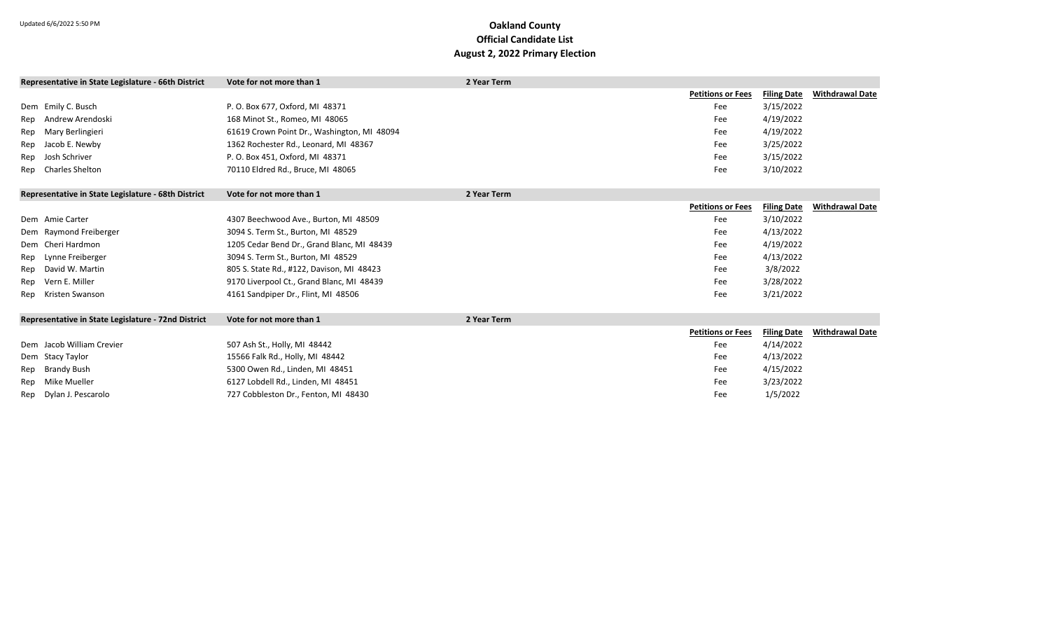|     | Representative in State Legislature - 66th District | Vote for not more than 1                    | 2 Year Term |                          |                    |                        |
|-----|-----------------------------------------------------|---------------------------------------------|-------------|--------------------------|--------------------|------------------------|
|     |                                                     |                                             |             | <b>Petitions or Fees</b> | <b>Filing Date</b> | <b>Withdrawal Date</b> |
|     | Dem Emily C. Busch                                  | P. O. Box 677, Oxford, MI 48371             |             | Fee                      | 3/15/2022          |                        |
| Rep | Andrew Arendoski                                    | 168 Minot St., Romeo, MI 48065              |             | Fee                      | 4/19/2022          |                        |
| Rep | Mary Berlingieri                                    | 61619 Crown Point Dr., Washington, MI 48094 |             | Fee                      | 4/19/2022          |                        |
| Rep | Jacob E. Newby                                      | 1362 Rochester Rd., Leonard, MI 48367       |             | Fee                      | 3/25/2022          |                        |
| Rep | Josh Schriver                                       | P. O. Box 451, Oxford, MI 48371             |             | Fee                      | 3/15/2022          |                        |
| Rep | <b>Charles Shelton</b>                              | 70110 Eldred Rd., Bruce, MI 48065           |             | Fee                      | 3/10/2022          |                        |
|     | Representative in State Legislature - 68th District | Vote for not more than 1                    | 2 Year Term |                          |                    |                        |
|     |                                                     |                                             |             | <b>Petitions or Fees</b> | <b>Filing Date</b> | <b>Withdrawal Date</b> |
|     | Dem Amie Carter                                     | 4307 Beechwood Ave., Burton, MI 48509       |             | Fee                      | 3/10/2022          |                        |
|     | Dem Raymond Freiberger                              | 3094 S. Term St., Burton, MI 48529          |             | Fee                      | 4/13/2022          |                        |
|     | Dem Cheri Hardmon                                   | 1205 Cedar Bend Dr., Grand Blanc, MI 48439  |             | Fee                      | 4/19/2022          |                        |
| Rep | Lynne Freiberger                                    | 3094 S. Term St., Burton, MI 48529          |             | Fee                      | 4/13/2022          |                        |
| Rep | David W. Martin                                     | 805 S. State Rd., #122, Davison, MI 48423   |             | Fee                      | 3/8/2022           |                        |
| Rep | Vern E. Miller                                      | 9170 Liverpool Ct., Grand Blanc, MI 48439   |             | Fee                      | 3/28/2022          |                        |
| Rep | Kristen Swanson                                     | 4161 Sandpiper Dr., Flint, MI 48506         |             | Fee                      | 3/21/2022          |                        |
|     | Representative in State Legislature - 72nd District | Vote for not more than 1                    | 2 Year Term |                          |                    |                        |
|     |                                                     |                                             |             | <b>Petitions or Fees</b> | <b>Filing Date</b> | <b>Withdrawal Date</b> |
|     | Dem Jacob William Crevier                           | 507 Ash St., Holly, MI 48442                |             | Fee                      | 4/14/2022          |                        |
|     | Dem Stacy Taylor                                    | 15566 Falk Rd., Holly, MI 48442             |             | Fee                      | 4/13/2022          |                        |
| Rep | <b>Brandy Bush</b>                                  | 5300 Owen Rd., Linden, MI 48451             |             | Fee                      | 4/15/2022          |                        |
| Rep | Mike Mueller                                        | 6127 Lobdell Rd., Linden, MI 48451          |             | Fee                      | 3/23/2022          |                        |
| Rep | Dylan J. Pescarolo                                  | 727 Cobbleston Dr., Fenton, MI 48430        |             | Fee                      | 1/5/2022           |                        |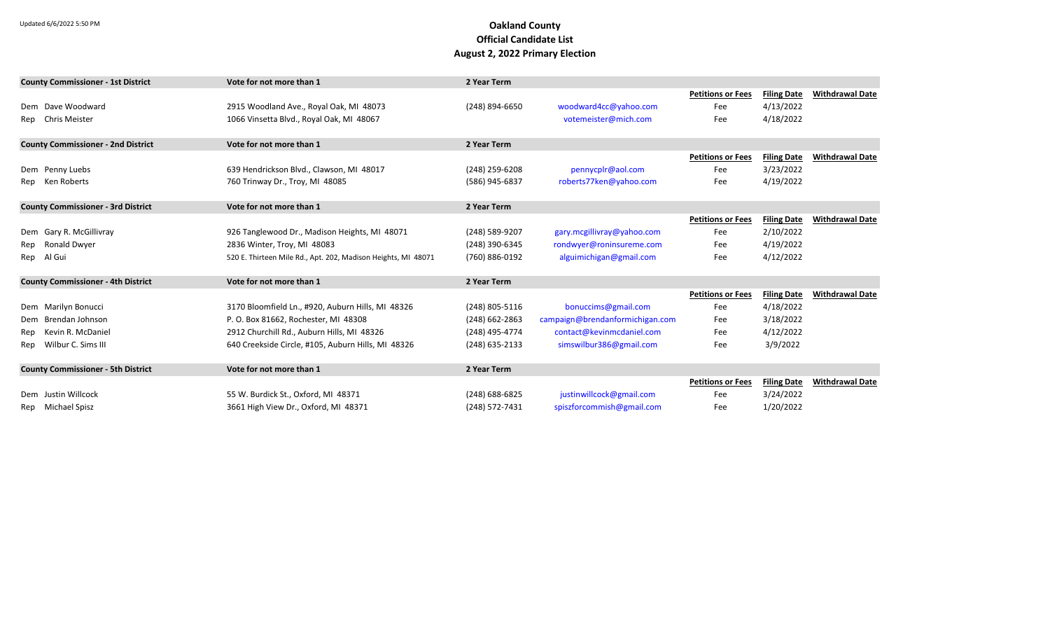| Vote for not more than 1                           | 2 Year Term                                                                                                                                                               |                                                                   |                                                                                                        |                                                                           |                                                                                              |
|----------------------------------------------------|---------------------------------------------------------------------------------------------------------------------------------------------------------------------------|-------------------------------------------------------------------|--------------------------------------------------------------------------------------------------------|---------------------------------------------------------------------------|----------------------------------------------------------------------------------------------|
|                                                    |                                                                                                                                                                           |                                                                   | <b>Petitions or Fees</b>                                                                               | <b>Filing Date</b>                                                        | <b>Withdrawal Date</b>                                                                       |
| 2915 Woodland Ave., Royal Oak, MI 48073            | (248) 894-6650                                                                                                                                                            | woodward4cc@yahoo.com                                             | Fee                                                                                                    | 4/13/2022                                                                 |                                                                                              |
| 1066 Vinsetta Blvd., Royal Oak, MI 48067           |                                                                                                                                                                           | votemeister@mich.com                                              | Fee                                                                                                    | 4/18/2022                                                                 |                                                                                              |
| Vote for not more than 1                           | 2 Year Term                                                                                                                                                               |                                                                   |                                                                                                        |                                                                           |                                                                                              |
|                                                    |                                                                                                                                                                           |                                                                   |                                                                                                        |                                                                           | <b>Withdrawal Date</b>                                                                       |
| 639 Hendrickson Blvd., Clawson, MI 48017           | (248) 259-6208                                                                                                                                                            |                                                                   | Fee                                                                                                    |                                                                           |                                                                                              |
| 760 Trinway Dr., Troy, MI 48085                    | (586) 945-6837                                                                                                                                                            | roberts77ken@yahoo.com                                            | Fee                                                                                                    | 4/19/2022                                                                 |                                                                                              |
|                                                    |                                                                                                                                                                           |                                                                   |                                                                                                        |                                                                           |                                                                                              |
|                                                    |                                                                                                                                                                           |                                                                   |                                                                                                        |                                                                           | <b>Withdrawal Date</b>                                                                       |
|                                                    |                                                                                                                                                                           |                                                                   |                                                                                                        |                                                                           |                                                                                              |
|                                                    |                                                                                                                                                                           |                                                                   |                                                                                                        |                                                                           |                                                                                              |
|                                                    |                                                                                                                                                                           |                                                                   |                                                                                                        |                                                                           |                                                                                              |
|                                                    |                                                                                                                                                                           |                                                                   |                                                                                                        |                                                                           |                                                                                              |
| Vote for not more than 1                           | 2 Year Term                                                                                                                                                               |                                                                   |                                                                                                        |                                                                           |                                                                                              |
|                                                    |                                                                                                                                                                           |                                                                   | <b>Petitions or Fees</b>                                                                               | <b>Filing Date</b>                                                        | <b>Withdrawal Date</b>                                                                       |
| 3170 Bloomfield Ln., #920, Auburn Hills, MI 48326  | (248) 805-5116                                                                                                                                                            | bonuccims@gmail.com                                               | Fee                                                                                                    | 4/18/2022                                                                 |                                                                                              |
| P. O. Box 81662, Rochester, MI 48308               | $(248)$ 662-2863                                                                                                                                                          | campaign@brendanformichigan.com                                   | Fee                                                                                                    | 3/18/2022                                                                 |                                                                                              |
| 2912 Churchill Rd., Auburn Hills, MI 48326         | (248) 495-4774                                                                                                                                                            | contact@kevinmcdaniel.com                                         | Fee                                                                                                    | 4/12/2022                                                                 |                                                                                              |
| 640 Creekside Circle, #105, Auburn Hills, MI 48326 | $(248)$ 635-2133                                                                                                                                                          | simswilbur386@gmail.com                                           | Fee                                                                                                    | 3/9/2022                                                                  |                                                                                              |
| Vote for not more than 1                           | 2 Year Term                                                                                                                                                               |                                                                   |                                                                                                        |                                                                           |                                                                                              |
|                                                    |                                                                                                                                                                           |                                                                   | <b>Petitions or Fees</b>                                                                               | <b>Filing Date</b>                                                        | <b>Withdrawal Date</b>                                                                       |
| 55 W. Burdick St., Oxford, MI 48371                | $(248)$ 688-6825                                                                                                                                                          | justinwillcock@gmail.com                                          | Fee                                                                                                    | 3/24/2022                                                                 |                                                                                              |
| 3661 High View Dr., Oxford, MI 48371               | (248) 572-7431                                                                                                                                                            | spiszforcommish@gmail.com                                         | Fee                                                                                                    | 1/20/2022                                                                 |                                                                                              |
|                                                    | Vote for not more than 1<br>926 Tanglewood Dr., Madison Heights, MI 48071<br>2836 Winter, Troy, MI 48083<br>520 E. Thirteen Mile Rd., Apt. 202, Madison Heights, MI 48071 | 2 Year Term<br>(248) 589-9207<br>(248) 390-6345<br>(760) 886-0192 | pennycplr@aol.com<br>gary.mcgillivray@yahoo.com<br>rondwyer@roninsureme.com<br>alguimichigan@gmail.com | <b>Petitions or Fees</b><br><b>Petitions or Fees</b><br>Fee<br>Fee<br>Fee | <b>Filing Date</b><br>3/23/2022<br><b>Filing Date</b><br>2/10/2022<br>4/19/2022<br>4/12/2022 |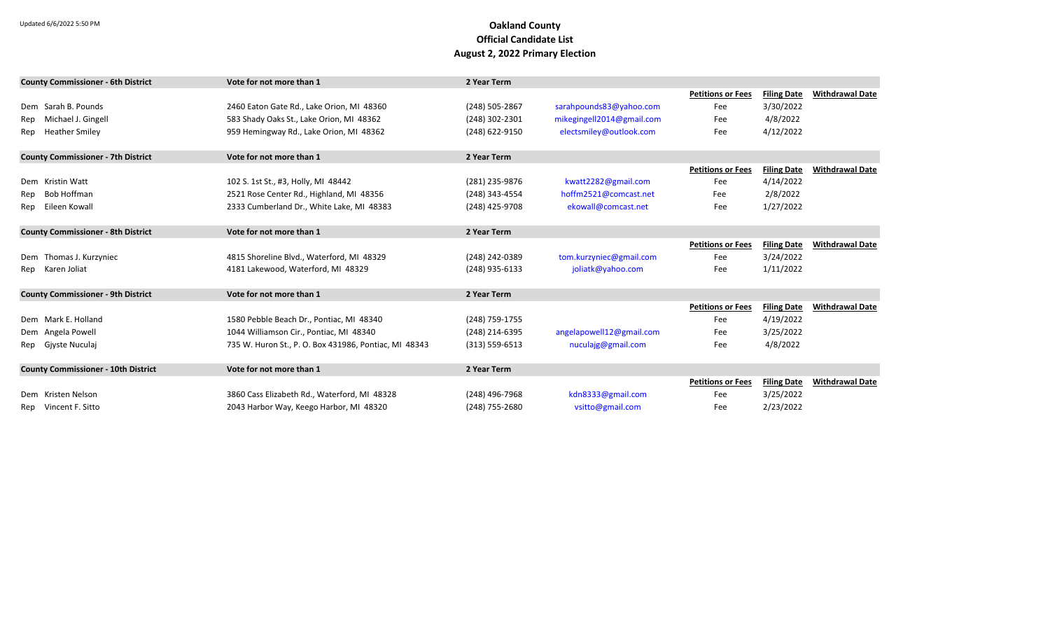| <b>County Commissioner - 6th District</b>  | Vote for not more than 1                              | 2 Year Term        |                           |                          |                    |                        |
|--------------------------------------------|-------------------------------------------------------|--------------------|---------------------------|--------------------------|--------------------|------------------------|
|                                            |                                                       |                    |                           | <b>Petitions or Fees</b> | <b>Filing Date</b> | <b>Withdrawal Date</b> |
| Dem Sarah B. Pounds                        | 2460 Eaton Gate Rd., Lake Orion, MI 48360             | (248) 505-2867     | sarahpounds83@yahoo.com   | Fee                      | 3/30/2022          |                        |
| Rep Michael J. Gingell                     | 583 Shady Oaks St., Lake Orion, MI 48362              | (248) 302-2301     | mikegingell2014@gmail.com | Fee                      | 4/8/2022           |                        |
| Rep Heather Smiley                         | 959 Hemingway Rd., Lake Orion, MI 48362               | (248) 622-9150     | electsmiley@outlook.com   | Fee                      | 4/12/2022          |                        |
| <b>County Commissioner - 7th District</b>  | Vote for not more than 1                              | 2 Year Term        |                           |                          |                    |                        |
|                                            |                                                       |                    |                           | <b>Petitions or Fees</b> | <b>Filing Date</b> | <b>Withdrawal Date</b> |
| Dem Kristin Watt                           | 102 S. 1st St., #3, Holly, MI 48442                   | (281) 235-9876     | kwatt2282@gmail.com       | Fee                      | 4/14/2022          |                        |
| Bob Hoffman<br>Rep                         | 2521 Rose Center Rd., Highland, MI 48356              | (248) 343-4554     | hoffm2521@comcast.net     | Fee                      | 2/8/2022           |                        |
| Rep Eileen Kowall                          | 2333 Cumberland Dr., White Lake, MI 48383             | (248) 425-9708     | ekowall@comcast.net       | Fee                      | 1/27/2022          |                        |
| <b>County Commissioner - 8th District</b>  | Vote for not more than 1                              | 2 Year Term        |                           |                          |                    |                        |
|                                            |                                                       |                    |                           | <b>Petitions or Fees</b> | <b>Filing Date</b> | <b>Withdrawal Date</b> |
| Dem Thomas J. Kurzyniec                    | 4815 Shoreline Blvd., Waterford, MI 48329             | (248) 242-0389     | tom.kurzyniec@gmail.com   | Fee                      | 3/24/2022          |                        |
| Rep Karen Joliat                           | 4181 Lakewood, Waterford, MI 48329                    | (248) 935-6133     | joliatk@yahoo.com         | Fee                      | 1/11/2022          |                        |
| <b>County Commissioner - 9th District</b>  | Vote for not more than 1                              | 2 Year Term        |                           |                          |                    |                        |
|                                            |                                                       |                    |                           | <b>Petitions or Fees</b> | <b>Filing Date</b> | <b>Withdrawal Date</b> |
| Dem Mark E. Holland                        | 1580 Pebble Beach Dr., Pontiac, MI 48340              | (248) 759-1755     |                           | Fee                      | 4/19/2022          |                        |
| Dem Angela Powell                          | 1044 Williamson Cir., Pontiac, MI 48340               | (248) 214-6395     | angelapowell12@gmail.com  | Fee                      | 3/25/2022          |                        |
| Rep Gjyste Nuculaj                         | 735 W. Huron St., P. O. Box 431986, Pontiac, MI 48343 | $(313) 559 - 6513$ | nuculajg@gmail.com        | Fee                      | 4/8/2022           |                        |
| <b>County Commissioner - 10th District</b> | Vote for not more than 1                              | 2 Year Term        |                           |                          |                    |                        |
|                                            |                                                       |                    |                           | <b>Petitions or Fees</b> | <b>Filing Date</b> | <b>Withdrawal Date</b> |
| Dem Kristen Nelson                         | 3860 Cass Elizabeth Rd., Waterford, MI 48328          | (248) 496-7968     | kdn8333@gmail.com         | Fee                      | 3/25/2022          |                        |
| Rep Vincent F. Sitto                       | 2043 Harbor Way, Keego Harbor, MI 48320               | (248) 755-2680     | vsitto@gmail.com          | Fee                      | 2/23/2022          |                        |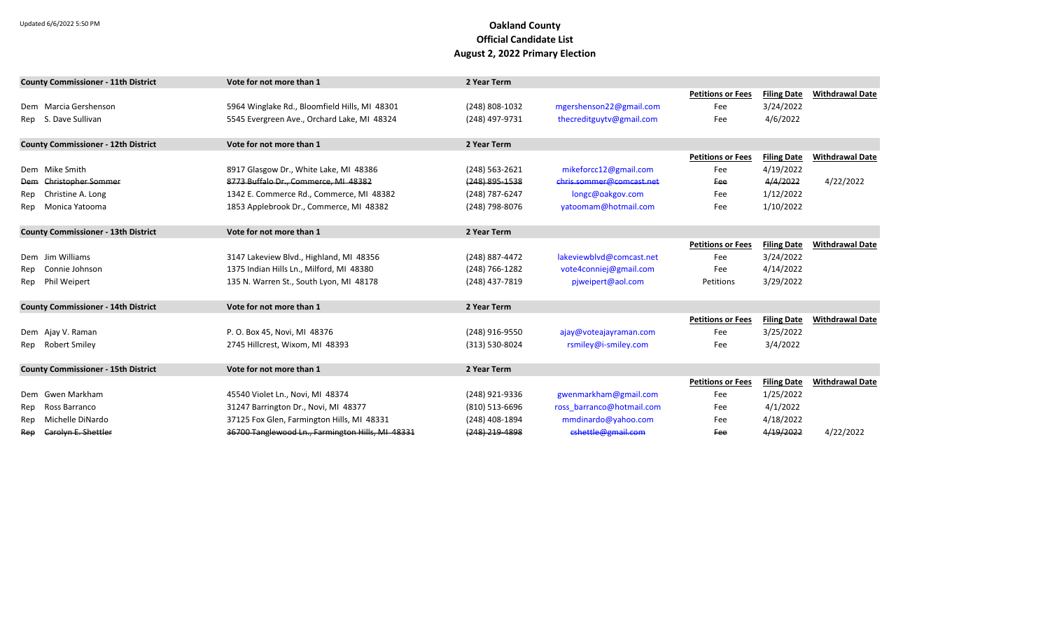| <b>County Commissioner - 11th District</b> | Vote for not more than 1                         | 2 Year Term      |                           |                          |                    |                        |
|--------------------------------------------|--------------------------------------------------|------------------|---------------------------|--------------------------|--------------------|------------------------|
|                                            |                                                  |                  |                           | <b>Petitions or Fees</b> | <b>Filing Date</b> | <b>Withdrawal Date</b> |
| Dem Marcia Gershenson                      | 5964 Winglake Rd., Bloomfield Hills, MI 48301    | (248) 808-1032   | mgershenson22@gmail.com   | Fee                      | 3/24/2022          |                        |
| Rep S. Dave Sullivan                       | 5545 Evergreen Ave., Orchard Lake, MI 48324      | (248) 497-9731   | thecreditguytv@gmail.com  | Fee                      | 4/6/2022           |                        |
| <b>County Commissioner - 12th District</b> | Vote for not more than 1                         | 2 Year Term      |                           |                          |                    |                        |
|                                            |                                                  |                  |                           | <b>Petitions or Fees</b> | <b>Filing Date</b> | <b>Withdrawal Date</b> |
| Dem Mike Smith                             | 8917 Glasgow Dr., White Lake, MI 48386           | $(248)$ 563-2621 | mikeforcc12@gmail.com     | Fee                      | 4/19/2022          |                        |
| Christopher Sommer<br><b>Dem</b>           | 8773 Buffalo Dr., Commerce, MI 48382             | $(248)$ 895-1538 | chris.sommer@comcast.net  | Fee                      | 4/4/2022           | 4/22/2022              |
| Christine A. Long<br>Rep                   | 1342 E. Commerce Rd., Commerce, MI 48382         | (248) 787-6247   | longc@oakgov.com          | Fee                      | 1/12/2022          |                        |
| Monica Yatooma<br>Rep                      | 1853 Applebrook Dr., Commerce, MI 48382          | (248) 798-8076   | yatoomam@hotmail.com      | Fee                      | 1/10/2022          |                        |
| <b>County Commissioner - 13th District</b> | Vote for not more than 1                         | 2 Year Term      |                           |                          |                    |                        |
|                                            |                                                  |                  |                           | <b>Petitions or Fees</b> | <b>Filing Date</b> | <b>Withdrawal Date</b> |
| Dem Jim Williams                           | 3147 Lakeview Blvd., Highland, MI 48356          | (248) 887-4472   | lakeviewblvd@comcast.net  | Fee                      | 3/24/2022          |                        |
| Connie Johnson<br>Rep                      | 1375 Indian Hills Ln., Milford, MI 48380         | (248) 766-1282   | vote4conniej@gmail.com    | Fee                      | 4/14/2022          |                        |
| Rep Phil Weipert                           | 135 N. Warren St., South Lyon, MI 48178          | (248) 437-7819   | pjweipert@aol.com         | Petitions                | 3/29/2022          |                        |
| <b>County Commissioner - 14th District</b> | Vote for not more than 1                         | 2 Year Term      |                           |                          |                    |                        |
|                                            |                                                  |                  |                           | <b>Petitions or Fees</b> | <b>Filing Date</b> | <b>Withdrawal Date</b> |
| Dem Ajay V. Raman                          | P. O. Box 45, Novi, MI 48376                     | (248) 916-9550   | ajay@voteajayraman.com    | Fee                      | 3/25/2022          |                        |
| Rep Robert Smiley                          | 2745 Hillcrest, Wixom, MI 48393                  | (313) 530-8024   | rsmiley@i-smiley.com      | Fee                      | 3/4/2022           |                        |
| <b>County Commissioner - 15th District</b> | Vote for not more than 1                         | 2 Year Term      |                           |                          |                    |                        |
|                                            |                                                  |                  |                           | <b>Petitions or Fees</b> | <b>Filing Date</b> | <b>Withdrawal Date</b> |
| Dem Gwen Markham                           | 45540 Violet Ln., Novi, MI 48374                 | (248) 921-9336   | gwenmarkham@gmail.com     | Fee                      | 1/25/2022          |                        |
| Ross Barranco<br>Rep                       | 31247 Barrington Dr., Novi, MI 48377             | (810) 513-6696   | ross barranco@hotmail.com | Fee                      | 4/1/2022           |                        |
| Michelle DiNardo<br>Rep                    | 37125 Fox Glen, Farmington Hills, MI 48331       | (248) 408-1894   | mmdinardo@yahoo.com       | Fee                      | 4/18/2022          |                        |
| Carolyn E. Shettler<br>Rep                 | 36700 Tanglewood Ln., Farmington Hills, MI 48331 | $(248)$ 219-4898 | cshettle@gmail.com        | Fee                      | 4/19/2022          | 4/22/2022              |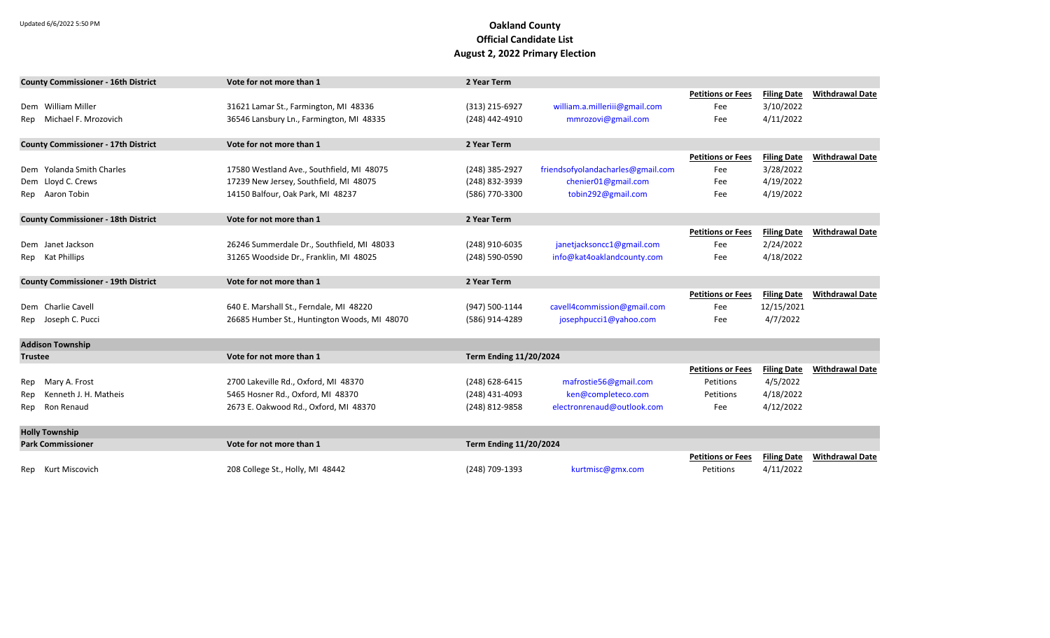|                                            | <b>County Commissioner - 16th District</b> | Vote for not more than 1                     | 2 Year Term                   |                                   |                          |                    |                        |
|--------------------------------------------|--------------------------------------------|----------------------------------------------|-------------------------------|-----------------------------------|--------------------------|--------------------|------------------------|
|                                            |                                            |                                              |                               |                                   | <b>Petitions or Fees</b> | <b>Filing Date</b> | <b>Withdrawal Date</b> |
|                                            | Dem William Miller                         | 31621 Lamar St., Farmington, MI 48336        | (313) 215-6927                | william.a.milleriii@gmail.com     | Fee                      | 3/10/2022          |                        |
| Rep                                        | Michael F. Mrozovich                       | 36546 Lansbury Ln., Farmington, MI 48335     | (248) 442-4910                | mmrozovi@gmail.com                | Fee                      | 4/11/2022          |                        |
|                                            | <b>County Commissioner - 17th District</b> | Vote for not more than 1                     | 2 Year Term                   |                                   |                          |                    |                        |
|                                            |                                            |                                              |                               |                                   | <b>Petitions or Fees</b> | <b>Filing Date</b> | <b>Withdrawal Date</b> |
|                                            | Dem Yolanda Smith Charles                  | 17580 Westland Ave., Southfield, MI 48075    | (248) 385-2927                | friendsofyolandacharles@gmail.com | Fee                      | 3/28/2022          |                        |
|                                            | Dem Lloyd C. Crews                         | 17239 New Jersey, Southfield, MI 48075       | (248) 832-3939                | chenier01@gmail.com               | Fee                      | 4/19/2022          |                        |
|                                            | Rep Aaron Tobin                            | 14150 Balfour, Oak Park, MI 48237            | (586) 770-3300                | tobin292@gmail.com                | Fee                      | 4/19/2022          |                        |
|                                            | <b>County Commissioner - 18th District</b> | Vote for not more than 1                     | 2 Year Term                   |                                   |                          |                    |                        |
|                                            |                                            |                                              |                               |                                   | <b>Petitions or Fees</b> | <b>Filing Date</b> | <b>Withdrawal Date</b> |
|                                            | Dem Janet Jackson                          | 26246 Summerdale Dr., Southfield, MI 48033   | (248) 910-6035                | janetjacksoncc1@gmail.com         | Fee                      | 2/24/2022          |                        |
|                                            | Rep Kat Phillips                           | 31265 Woodside Dr., Franklin, MI 48025       | (248) 590-0590                | info@kat4oaklandcounty.com        | Fee                      | 4/18/2022          |                        |
|                                            | <b>County Commissioner - 19th District</b> | Vote for not more than 1                     | 2 Year Term                   |                                   |                          |                    |                        |
|                                            |                                            |                                              |                               |                                   | <b>Petitions or Fees</b> | <b>Filing Date</b> | <b>Withdrawal Date</b> |
|                                            | Dem Charlie Cavell                         | 640 E. Marshall St., Ferndale, MI 48220      | (947) 500-1144                | cavell4commission@gmail.com       | Fee                      | 12/15/2021         |                        |
|                                            | Rep Joseph C. Pucci                        | 26685 Humber St., Huntington Woods, MI 48070 | (586) 914-4289                | josephpucci1@yahoo.com            | Fee                      | 4/7/2022           |                        |
|                                            | <b>Addison Township</b>                    |                                              |                               |                                   |                          |                    |                        |
| Vote for not more than 1<br><b>Trustee</b> |                                            | <b>Term Ending 11/20/2024</b>                |                               |                                   |                          |                    |                        |
|                                            |                                            |                                              |                               |                                   | <b>Petitions or Fees</b> | <b>Filing Date</b> | <b>Withdrawal Date</b> |
| Rep                                        | Mary A. Frost                              | 2700 Lakeville Rd., Oxford, MI 48370         | (248) 628-6415                | mafrostie56@gmail.com             | Petitions                | 4/5/2022           |                        |
| Rep                                        | Kenneth J. H. Matheis                      | 5465 Hosner Rd., Oxford, MI 48370            | (248) 431-4093                | ken@completeco.com                | Petitions                | 4/18/2022          |                        |
| Rep                                        | Ron Renaud                                 | 2673 E. Oakwood Rd., Oxford, MI 48370        | (248) 812-9858                | electronrenaud@outlook.com        | Fee                      | 4/12/2022          |                        |
| <b>Holly Township</b>                      |                                            |                                              |                               |                                   |                          |                    |                        |
|                                            | <b>Park Commissioner</b>                   | Vote for not more than 1                     | <b>Term Ending 11/20/2024</b> |                                   |                          |                    |                        |
|                                            |                                            |                                              |                               |                                   | <b>Petitions or Fees</b> | <b>Filing Date</b> | <b>Withdrawal Date</b> |
|                                            | Rep Kurt Miscovich                         | 208 College St., Holly, MI 48442             | (248) 709-1393                | kurtmisc@gmx.com                  | Petitions                | 4/11/2022          |                        |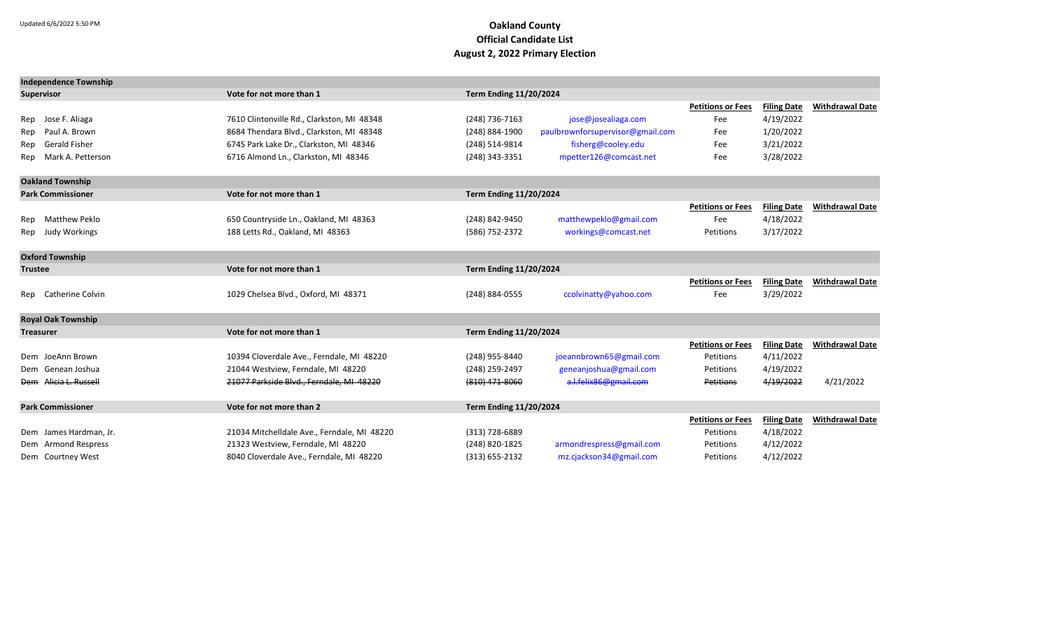|                                            | <b>Independence Township</b>                  |                                             |                               |                                  |                          |                    |                        |
|--------------------------------------------|-----------------------------------------------|---------------------------------------------|-------------------------------|----------------------------------|--------------------------|--------------------|------------------------|
|                                            | Vote for not more than 1<br><b>Supervisor</b> |                                             | <b>Term Ending 11/20/2024</b> |                                  |                          |                    |                        |
|                                            |                                               |                                             |                               |                                  | <b>Petitions or Fees</b> | <b>Filing Date</b> | <b>Withdrawal Date</b> |
| Rep                                        | Jose F. Aliaga                                | 7610 Clintonville Rd., Clarkston, MI 48348  | (248) 736-7163                | jose@josealiaga.com              | Fee                      | 4/19/2022          |                        |
| Rep                                        | Paul A. Brown                                 | 8684 Thendara Blvd., Clarkston, MI 48348    | (248) 884-1900                | paulbrownforsupervisor@gmail.com | Fee                      | 1/20/2022          |                        |
| Rep                                        | <b>Gerald Fisher</b>                          | 6745 Park Lake Dr., Clarkston, MI 48346     | (248) 514-9814                | fisherg@cooley.edu               | Fee                      | 3/21/2022          |                        |
| Rep                                        | Mark A. Petterson                             | 6716 Almond Ln., Clarkston, MI 48346        | (248) 343-3351                | mpetter126@comcast.net           | Fee                      | 3/28/2022          |                        |
|                                            | <b>Oakland Township</b>                       |                                             |                               |                                  |                          |                    |                        |
|                                            | <b>Park Commissioner</b>                      | Vote for not more than 1                    | <b>Term Ending 11/20/2024</b> |                                  |                          |                    |                        |
|                                            |                                               |                                             |                               |                                  | <b>Petitions or Fees</b> | <b>Filing Date</b> | <b>Withdrawal Date</b> |
|                                            | Rep Matthew Peklo                             | 650 Countryside Ln., Oakland, MI 48363      | (248) 842-9450                | matthewpeklo@gmail.com           | Fee                      | 4/18/2022          |                        |
|                                            | Rep Judy Workings                             | 188 Letts Rd., Oakland, MI 48363            | (586) 752-2372                | workings@comcast.net             | Petitions                | 3/17/2022          |                        |
|                                            |                                               |                                             |                               |                                  |                          |                    |                        |
|                                            | <b>Oxford Township</b>                        |                                             |                               |                                  |                          |                    |                        |
| Vote for not more than 1<br><b>Trustee</b> |                                               | <b>Term Ending 11/20/2024</b>               |                               |                                  |                          |                    |                        |
|                                            |                                               |                                             |                               |                                  | <b>Petitions or Fees</b> | <b>Filing Date</b> | <b>Withdrawal Date</b> |
|                                            | Rep Catherine Colvin                          | 1029 Chelsea Blvd., Oxford, MI 48371        | (248) 884-0555                | ccolvinatty@yahoo.com            | Fee                      | 3/29/2022          |                        |
|                                            |                                               |                                             |                               |                                  |                          |                    |                        |
|                                            | <b>Royal Oak Township</b>                     |                                             |                               |                                  |                          |                    |                        |
|                                            | <b>Treasurer</b>                              | Vote for not more than 1                    | <b>Term Ending 11/20/2024</b> |                                  |                          |                    |                        |
|                                            |                                               |                                             |                               |                                  | <b>Petitions or Fees</b> | <b>Filing Date</b> | <b>Withdrawal Date</b> |
|                                            | Dem JoeAnn Brown                              | 10394 Cloverdale Ave., Ferndale, MI 48220   | (248) 955-8440                | joeannbrown65@gmail.com          | Petitions                | 4/11/2022          |                        |
|                                            | Dem Genean Joshua                             | 21044 Westview, Ferndale, MI 48220          | (248) 259-2497                | geneanjoshua@gmail.com           | Petitions                | 4/19/2022          |                        |
|                                            | Dem Alicia L. Russell                         | 21077 Parkside Blvd., Ferndale, MI 48220    | (810) 471-8060                | a.l.felix86@gmail.com            | <b>Petitions</b>         | 4/19/2022          | 4/21/2022              |
|                                            |                                               |                                             |                               |                                  |                          |                    |                        |
|                                            | <b>Park Commissioner</b>                      | Vote for not more than 2                    | <b>Term Ending 11/20/2024</b> |                                  |                          |                    |                        |
|                                            |                                               |                                             |                               |                                  | <b>Petitions or Fees</b> | <b>Filing Date</b> | <b>Withdrawal Date</b> |
|                                            | Dem James Hardman, Jr.                        | 21034 Mitchelldale Ave., Ferndale, MI 48220 | (313) 728-6889                |                                  | Petitions                | 4/18/2022          |                        |
|                                            | Dem Armond Respress                           | 21323 Westview, Ferndale, MI 48220          | (248) 820-1825                | armondrespress@gmail.com         | Petitions                | 4/12/2022          |                        |
|                                            | Dem Courtney West                             | 8040 Cloverdale Ave., Ferndale, MI 48220    | $(313) 655 - 2132$            | mz.cjackson34@gmail.com          | Petitions                | 4/12/2022          |                        |